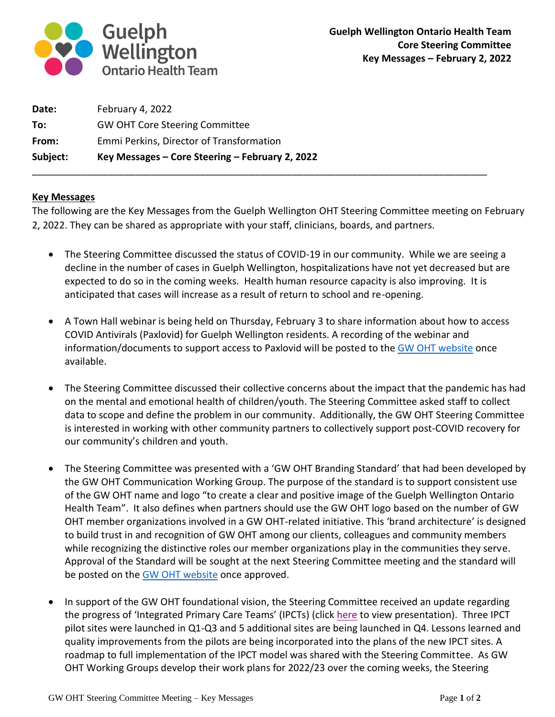

| Subject: | Key Messages – Core Steering – February 2, 2022 |
|----------|-------------------------------------------------|
| From:    | Emmi Perkins, Director of Transformation        |
| To:      | <b>GW OHT Core Steering Committee</b>           |
| Date:    | February 4, 2022                                |

## **Key Messages**

The following are the Key Messages from the Guelph Wellington OHT Steering Committee meeting on February 2, 2022. They can be shared as appropriate with your staff, clinicians, boards, and partners.

\_\_\_\_\_\_\_\_\_\_\_\_\_\_\_\_\_\_\_\_\_\_\_\_\_\_\_\_\_\_\_\_\_\_\_\_\_\_\_\_\_\_\_\_\_\_\_\_\_\_\_\_\_\_\_\_\_\_\_\_\_\_\_\_\_\_\_\_\_\_\_\_\_\_\_\_\_\_\_\_\_\_\_\_

- The Steering Committee discussed the status of COVID-19 in our community. While we are seeing a decline in the number of cases in Guelph Wellington, hospitalizations have not yet decreased but are expected to do so in the coming weeks. Health human resource capacity is also improving. It is anticipated that cases will increase as a result of return to school and re-opening.
- A Town Hall webinar is being held on Thursday, February 3 to share information about how to access COVID Antivirals (Paxlovid) for Guelph Wellington residents. A recording of the webinar and information/documents to support access to Paxlovid will be posted to th[e GW OHT website](https://guelphwellingtonoht.com/partner-resources/) once available.
- The Steering Committee discussed their collective concerns about the impact that the pandemic has had on the mental and emotional health of children/youth. The Steering Committee asked staff to collect data to scope and define the problem in our community. Additionally, the GW OHT Steering Committee is interested in working with other community partners to collectively support post-COVID recovery for our community's children and youth.
- The Steering Committee was presented with a 'GW OHT Branding Standard' that had been developed by the GW OHT Communication Working Group. The purpose of the standard is to support consistent use of the GW OHT name and logo "to create a clear and positive image of the Guelph Wellington Ontario Health Team". It also defines when partners should use the GW OHT logo based on the number of GW OHT member organizations involved in a GW OHT-related initiative. This 'brand architecture' is designed to build trust in and recognition of GW OHT among our clients, colleagues and community members while recognizing the distinctive roles our member organizations play in the communities they serve. Approval of the Standard will be sought at the next Steering Committee meeting and the standard will be posted on the [GW OHT](https://guelphwellingtonoht.com/partner-resources/) website once approved.
- In support of the GW OHT foundational vision, the Steering Committee received an update regarding the progress of 'Integrated Primary Care Teams' (IPCTs) (click [here](https://guelphwellingtonoht.com/wp-content/uploads/2022/02/What-is-an-IPCT.pdf) to view presentation). Three IPCT pilot sites were launched in Q1-Q3 and 5 additional sites are being launched in Q4. Lessons learned and quality improvements from the pilots are being incorporated into the plans of the new IPCT sites. A roadmap to full implementation of the IPCT model was shared with the Steering Committee. As GW OHT Working Groups develop their work plans for 2022/23 over the coming weeks, the Steering